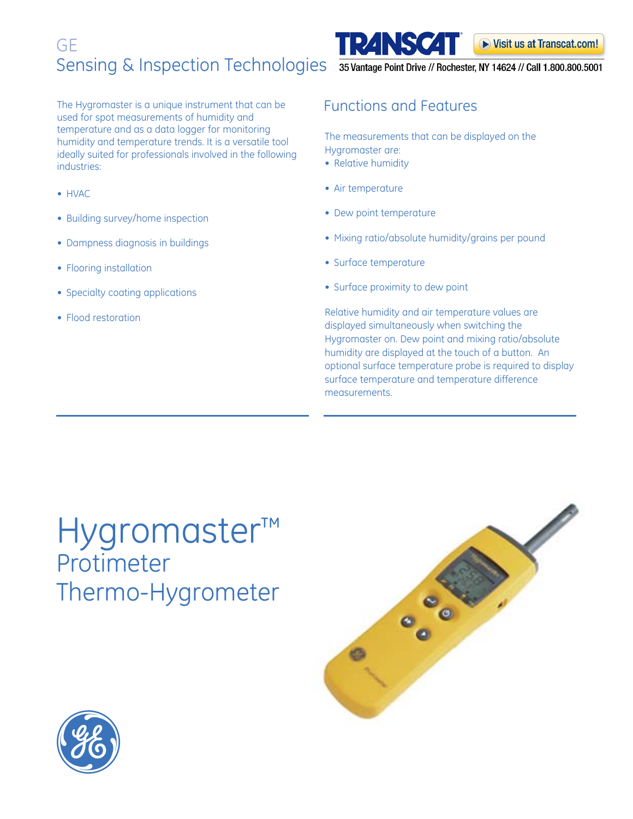The Hygromaster is a unique instrument that can be used for spot measurements of humidity and temperature and as a data logger for monitoring humidity and temperature trends. It is a versatile tool ideally suited for professionals involved in the following industries:

- HVAC
- Building survey/home inspection
- Dampness diagnosis in buildings
- Flooring installation
- Specialty coating applications
- Flood restoration

## Functions and Features

**TRANSCAT** 

#### The measurements that can be displayed on the Hygromaster are:

- Relative humidity
- Air temperature
- Dew point temperature
- Mixing ratio/absolute humidity/grains per pound
- Surface temperature
- Surface proximity to dew point

Relative humidity and air temperature values are displayed simultaneously when switching the Hygromaster on. Dew point and mixing ratio/absolute humidity are displayed at the touch of a button. An optional surface temperature probe is required to display surface temperature and temperature difference measurements.

## Hygromaster™ Protimeter Thermo-Hygrometer





▶ Visit us at Transcat.com!

35 Vantage Point Drive // Rochester, NY 14624 // Call 1.800.800.5001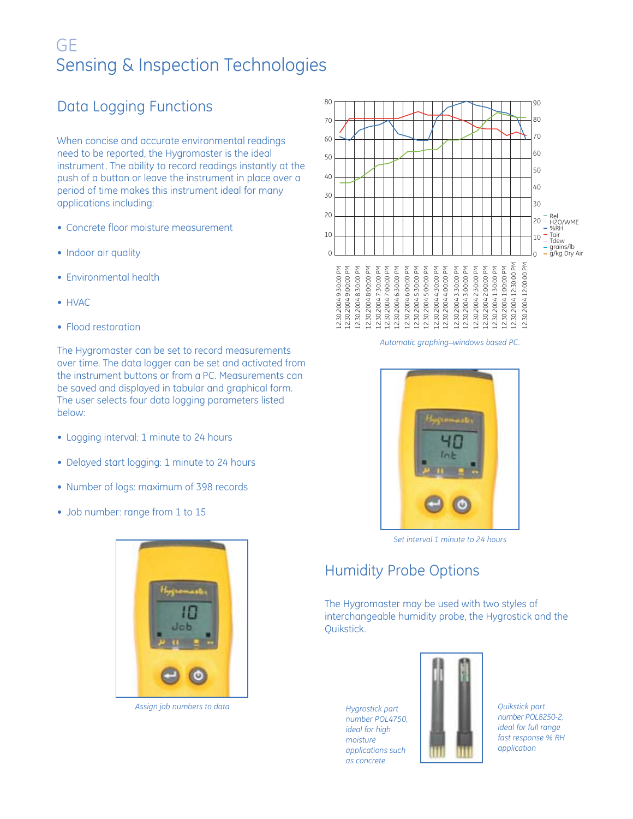## Data Logging Functions

When concise and accurate environmental readings need to be reported, the Hygromaster is the ideal instrument. The ability to record readings instantly at the push of a button or leave the instrument in place over a period of time makes this instrument ideal for many applications including:

- Concrete floor moisture measurement
- Indoor air quality
- Environmental health
- HVAC
- Flood restoration

The Hygromaster can be set to record measurements over time. The data logger can be set and activated from the instrument buttons or from a PC. Measurements can be saved and displayed in tabular and graphical form. The user selects four data logging parameters listed below:

- Logging interval: 1 minute to 24 hours
- Delayed start logging: 1 minute to 24 hours
- Number of logs: maximum of 398 records
- Job number: range from 1 to 15



*Assign job numbers to data*



*Automatic graphing\_windows based PC.*



*Set interval 1 minute to 24 hours*

### Humidity Probe Options

The Hygromaster may be used with two styles of interchangeable humidity probe, the Hygrostick and the Quikstick.

*Hygrostick part number POL4750, ideal for high moisture applications such as concrete*



*Quikstick part number POL8250-2, ideal for full range fast response % RH application*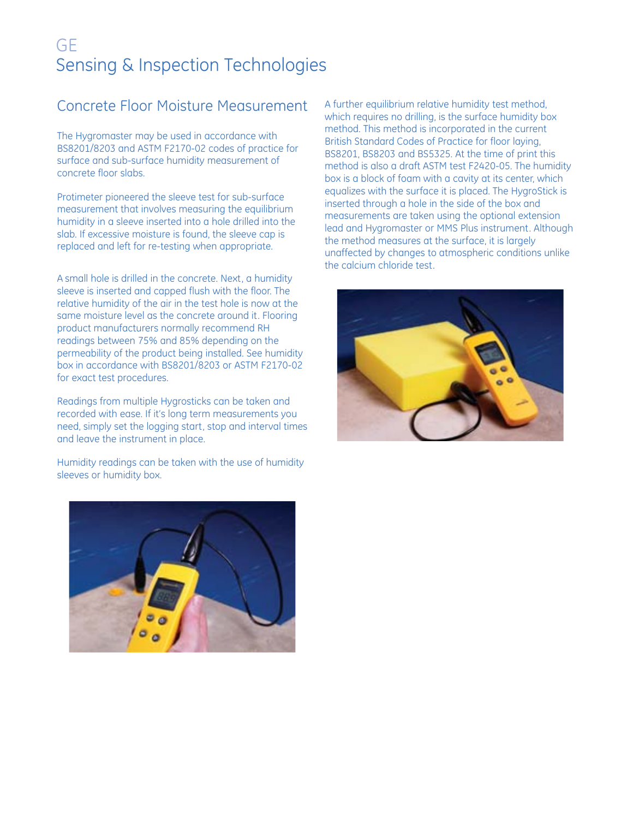## Concrete Floor Moisture Measurement

The Hygromaster may be used in accordance with BS8201/8203 and ASTM F2170-02 codes of practice for surface and sub-surface humidity measurement of concrete floor slabs.

Protimeter pioneered the sleeve test for sub-surface measurement that involves measuring the equilibrium humidity in a sleeve inserted into a hole drilled into the slab. If excessive moisture is found, the sleeve cap is replaced and left for re-testing when appropriate.

A small hole is drilled in the concrete. Next, a humidity sleeve is inserted and capped flush with the floor. The relative humidity of the air in the test hole is now at the same moisture level as the concrete around it. Flooring product manufacturers normally recommend RH readings between 75% and 85% depending on the permeability of the product being installed. See humidity box in accordance with BS8201/8203 or ASTM F2170-02 for exact test procedures.

Readings from multiple Hygrosticks can be taken and recorded with ease. If it's long term measurements you need, simply set the logging start, stop and interval times and leave the instrument in place.

Humidity readings can be taken with the use of humidity sleeves or humidity box.

A further equilibrium relative humidity test method, which requires no drilling, is the surface humidity box method. This method is incorporated in the current British Standard Codes of Practice for floor laying, BS8201, BS8203 and BS5325. At the time of print this method is also a draft ASTM test F2420-05. The humidity box is a block of foam with a cavity at its center, which equalizes with the surface it is placed. The HygroStick is inserted through a hole in the side of the box and measurements are taken using the optional extension lead and Hygromaster or MMS Plus instrument. Although the method measures at the surface, it is largely unaffected by changes to atmospheric conditions unlike the calcium chloride test.